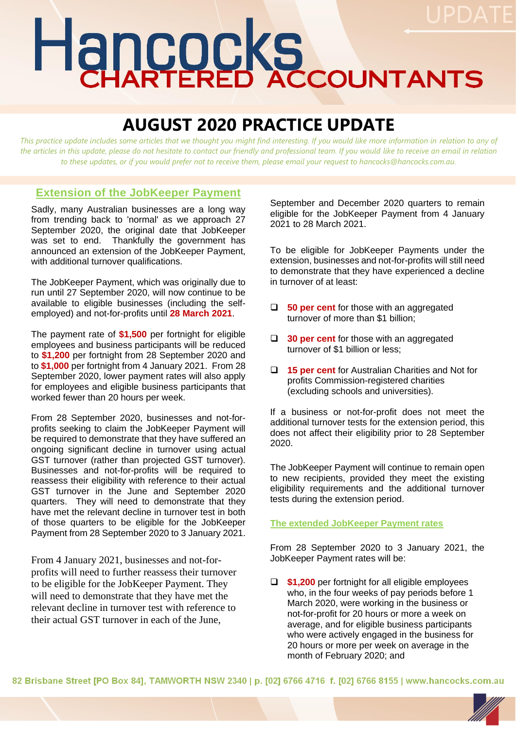# Hancocks

# **AUGUST 2020 PRACTICE UPDATE**

*This practice update includes some articles that we thought you might find interesting. If you would like more information in relation to any of the articles in this update, please do not hesitate to contact our friendly and professional team. If you would like to receive an email in relation to these updates, or if you would prefer not to receive them, please email your request to hancocks@hancocks.com.au.* 

## **Extension of the JobKeeper Payment**

Sadly, many Australian businesses are a long way from trending back to 'normal' as we approach 27 September 2020, the original date that JobKeeper was set to end. Thankfully the government has announced an extension of the JobKeeper Payment, with additional turnover qualifications.

The JobKeeper Payment, which was originally due to run until 27 September 2020, will now continue to be available to eligible businesses (including the selfemployed) and not-for-profits until **28 March 2021**.

The payment rate of **\$1,500** per fortnight for eligible employees and business participants will be reduced to **\$1,200** per fortnight from 28 September 2020 and to **\$1,000** per fortnight from 4 January 2021. From 28 September 2020, lower payment rates will also apply for employees and eligible business participants that worked fewer than 20 hours per week.

From 28 September 2020, businesses and not-forprofits seeking to claim the JobKeeper Payment will be required to demonstrate that they have suffered an ongoing significant decline in turnover using actual GST turnover (rather than projected GST turnover). Businesses and not-for-profits will be required to reassess their eligibility with reference to their actual GST turnover in the June and September 2020 quarters. They will need to demonstrate that they have met the relevant decline in turnover test in both of those quarters to be eligible for the JobKeeper Payment from 28 September 2020 to 3 January 2021.

From 4 January 2021, businesses and not-forprofits will need to further reassess their turnover to be eligible for the JobKeeper Payment. They will need to demonstrate that they have met the relevant decline in turnover test with reference to their actual GST turnover in each of the June,

September and December 2020 quarters to remain eligible for the JobKeeper Payment from 4 January 2021 to 28 March 2021.

To be eligible for JobKeeper Payments under the extension, businesses and not-for-profits will still need to demonstrate that they have experienced a decline in turnover of at least:

- ❑ **50 per cent** for those with an aggregated turnover of more than \$1 billion;
- ❑ **30 per cent** for those with an aggregated turnover of \$1 billion or less;
- ❑ **15 per cent** for Australian Charities and Not for profits Commission-registered charities (excluding schools and universities).

If a business or not-for-profit does not meet the additional turnover tests for the extension period, this does not affect their eligibility prior to 28 September 2020.

The JobKeeper Payment will continue to remain open to new recipients, provided they meet the existing eligibility requirements and the additional turnover tests during the extension period.

#### **The extended JobKeeper Payment rates**

From 28 September 2020 to 3 January 2021, the JobKeeper Payment rates will be:

❑ **\$1,200** per fortnight for all eligible employees who, in the four weeks of pay periods before 1 March 2020, were working in the business or not-for-profit for 20 hours or more a week on average, and for eligible business participants who were actively engaged in the business for 20 hours or more per week on average in the month of February 2020; and

82 Brisbane Street [PO Box 84], TAMWORTH NSW 2340 | p. [02] 6766 4716 f. [02] 6766 8155 | www.hancocks.com.au